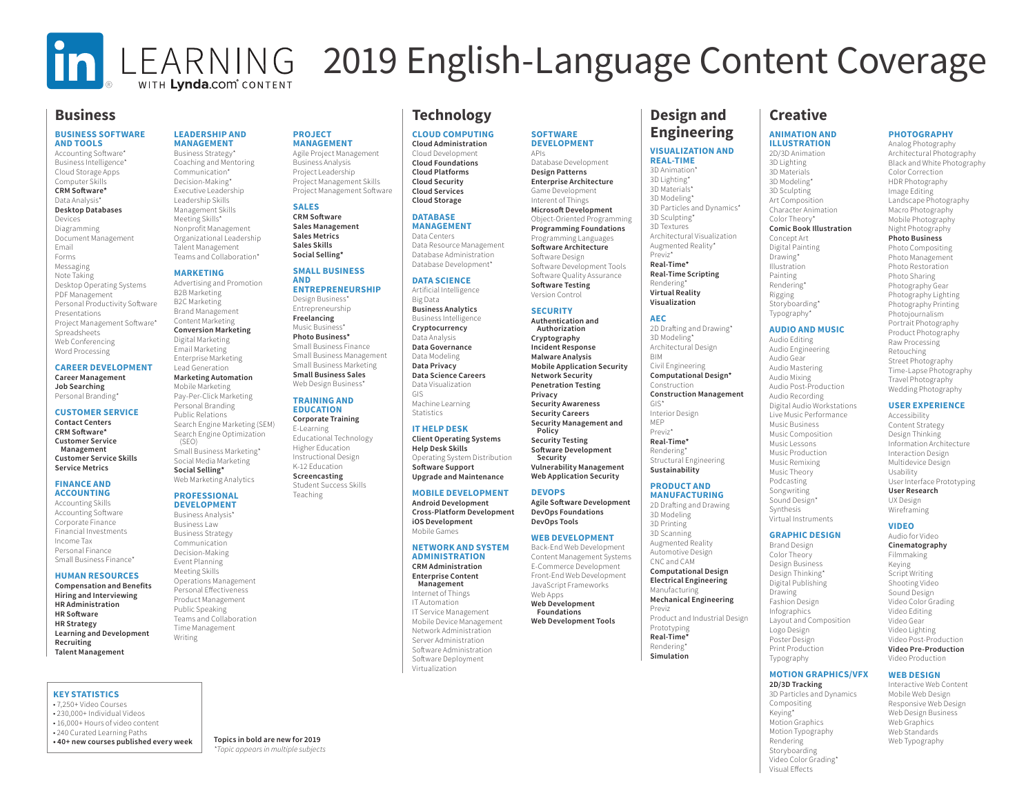## In LEARNING 2019 English-Language Content Coverage WITH Lynda.com<sup>®</sup> CONTENT

**SOFTWARE DEVELOPMENT**

Database Development **Design Patterns Enterprise Architecture** Game Development Interent of Things **Microsoft Development** Object-Oriented Programming **Programming Foundations** Programming Languages **Software Architecture** Software Design Software Development Tools Software Quality Assurance **Software Testing** Version Control **SECURITY Authentication and Authorization Cryptography Incident Response Malware Analysis Mobile Application Security Network Security Penetration Testing Privacy Security Awareness Security Careers Security Management and** 

APIs

**Policy Security Testing Software Development Security**

**DEVOPS**

**Vulnerability Management Web Application Security**

**Agile Software Development DevOps Foundations DevOps Tools WEB DEVELOPMENT** Back-End Web Development Content Management Systems E-Commerce Development Front-End Web Development JavaScript Frameworks Web Apps **Web Development Foundations Web Development Tools** 

### **Business**

#### **BUSINESS SOFTWARE AND TOOLS**

Accounting Software\* Business Intelligence\* Cloud Storage Apps Computer Skills **CRM Software\*** Data Analysis\* **Desktop Databases** Devices Diagramming Document Management Email Forms Messaging Note Taking Desktop Operating Systems PDF Management Personal Productivity Software Presentations Project Management Software\* Spreadsheets Web Conferencing Word Processing

#### **CAREER DEVELOPMENT Career Management Job Searching**

Personal Branding\*

#### **CUSTOMER SERVICE**

**Contact Centers CRM Software\* Customer Service Management Customer Service Skills Service Metrics**

#### **FINANCE AND ACCOUNTING**

Accounting Skills Accounting Software Corporate Finance Financial Investments Income Tax Personal Finance Small Business Finance\*

#### **HUMAN RESOURCES**

**Compensation and Benefits Hiring and Interviewing HR Administration HR Software HR Strategy Learning and Development Recruiting Talent Management** 

#### **KEY STATISTICS**

• 7,250+ Video Courses • 230,000+ Individual Videos • 16,000+ Hours of video content • 240 Curated Learning Paths **• 40+ new courses published every week Topics in bold are new for 2019**

#### **LEADERSHIP AND MANAGEMENT**

**PROJECT MANAGEMENT** Agile Project Management Business Analysis Project Leadership Project Management Skills Project Management Software

**SALES CRM Software Sales Management Sales Metrics Sales Skills Social Selling\* SMALL BUSINESS** 

**AND** 

**ENTREPRENEURSHIP** Design Business\* Entrepreneurship **Freelancing** Music Business\* **Photo Business\*** Small Business Finance Small Business Management Small Business Marketing **Small Business Sales** Web Design Business\* **TRAINING AND EDUCATION Corporate Training** E-Learning Educational Technology Higher Education Instructional Design K-12 Education **Screencasting** Student Success Skills Teaching

Business Strategy\* Coaching and Mentoring Communication\* Decision-Making\* Executive Leadership Leadership Skills Management Skills Meeting Skills\* Nonprofit Management Organizational Leadership Talent Management Teams and Collaboration\*

#### **MADKETING**

Advertising and Promotion B2B Marketing B2C Marketing Brand Management Content Marketing **Conversion Marketing** Digital Marketing Email Marketing Enterprise Marketing

#### Lead Generation **Marketing Automation**

Mobile Marketing Pay-Per-Click Marketing Personal Branding Public Relations Search Engine Marketing (SEM) Search Engine Optimization (SEO) Small Business Marketing\* Social Media Marketing **Social Selling\*** Web Marketing Analytics

#### **PROFESSIONAL DEVELOPMENT**

Business Analysis\* Business Law Business Strategy Communication Decision-Making Event Planning Meeting Skills Operations Management Personal Effectiveness Product Management Public Speaking Teams and Collaboration Time Management Writing

### **Technology**

**CLOUD COMPUTING Cloud Administration**

Cloud Development **Cloud Foundations Cloud Platforms Cloud Security Cloud Services Cloud Storage**

#### **DATABASE MANAGEMENT**

Data Centers Data Resource Management Database Administration Database Development\*

#### **DATA SCIENCE**

Artificial Intelligence Big Data **Business Analytics** Business Intelligence **Cryptocurrency** Data Analysis **Data Governance** Data Modeling **Data Privacy Data Science Careers** Data Visualization GIS Machine Learning

#### Statistics

#### **IT HELP DESK**

**Client Operating Systems Help Desk Skills** Operating System Distribution **Software Support**

#### **MOBILE DEVELOPMENT**

**Android Development iOS Development**

#### **NETWORK AND SYSTEM ADMINISTRATION**

**CRM Administration Enterprise Content Management** Internet of Things IT Automation IT Service Management Mobile Device Management Network Administration Server Administration Software Administration Software Deployment

Virtualization

## **Design and Engineering**

#### **VISUALIZATION AND REAL-TIME**

3D Animation\* 3D Lighting\* 3D Materials\* 3D Modeling\* 3D Particles and Dynamics\* 3D Sculpting' 3D Textures Architectural Visualization Augmented Reality\* Previz\* **Real-Time\* Real-Time Scripting** Rendering\* **Virtual Reality Visualization**

**AEC** 2D Drafting and Drawing\* 3D Modeling\* Architectural Design BIM Civil Engineering **Computational Design\*** Construction **Construction Management** GIS\* Interior Design

MEP Previz\* **Real-Time\*** Rendering\* Structural Engineering **Sustainability**

#### **PRODUCT AND MANUFACTURING**

2D Drafting and Drawing 3D Modeling 3D Printing 3D Scanning Augmented Reality Automotive Design CNC and CAM **Computational Design Electrical Engineering** Manufacturing **Mechanical Engineering** Previz Product and Industrial Design Prototyping **Real-Time\*** Rendering\* **Simulation**

### **Creative**

#### **ANIMATION AND ILLUSTRATION**

**PHOTOGRAPHY** Analog Photography Architectural Photography Black and White Photography Color Correction HDR Photography Image Editing Landscape Photography Macro Photography Mobile Photography Night Photography **Photo Business** Photo Compositing Photo Management Photo Restoration Photo Sharing Photography Gear Photography Lighting Photography Printing Photojournalism Portrait Photography Product Photography Raw Processing Retouching Street Photography Time-Lapse Photography Travel Photography Wedding Photography **USER EXPERIENCE** Accessibility Content Strategy Design Thinking Information Architecture Interaction Design Multidevice Design Usability

2D/3D Animation 3D Lighting 3D Materials 3D Modeling\* 3D Sculpting Art Composition Character Animation Color Theory' **Comic Book Illustration** Concept Art Digital Painting Drawing\* Illustration Painting Rendering\* Rigging Storyboarding\* Typography\*

#### **AUDIO AND MUSIC**

Audio Editing Audio Engineering Audio Gear Audio Mastering Audio Mixing Audio Post-Production Audio Recording Digital Audio Workstations Live Music Performance Music Business Music Composition Music Lessons Music Production Music Remixing Music Theory Podcasting Songwriting Sound Design\* **Synthesis** Virtual Instruments

**GRAPHIC DESIGN** Brand Design Color Theory Design Business Design Thinking\* Digital Publishing Drawing Fashion Design Infographics Layout and Composition Logo Design Poster Design Print Production Typography

#### **VIDEO** Audio for Video

**Cinematography** Filmmaking Keying Script Writing Shooting Video Sound Design Video Color Grading Video Editing Video Gear Video Lighting Video Post-Production **Video Pre-Production** Video Production

User Interface Prototyping **User Research** UX Design Wireframing

#### **MOTION GRAPHICS/VFX**

**2D/3D Tracking** 3D Particles and Dynamics Compositing Keying\* Motion Graphics Motion Typography Rendering Storyboarding Video Color Grading\* Visual Effects

**WEB DESIGN** Interactive Web Content Mobile Web Design Responsive Web Design Web Design Business

Web Graphics Web Standards Web Typography

*\*Topic appears in multiple subjects*

**Upgrade and Maintenance**

**Cross-Platform Development** Mobile Games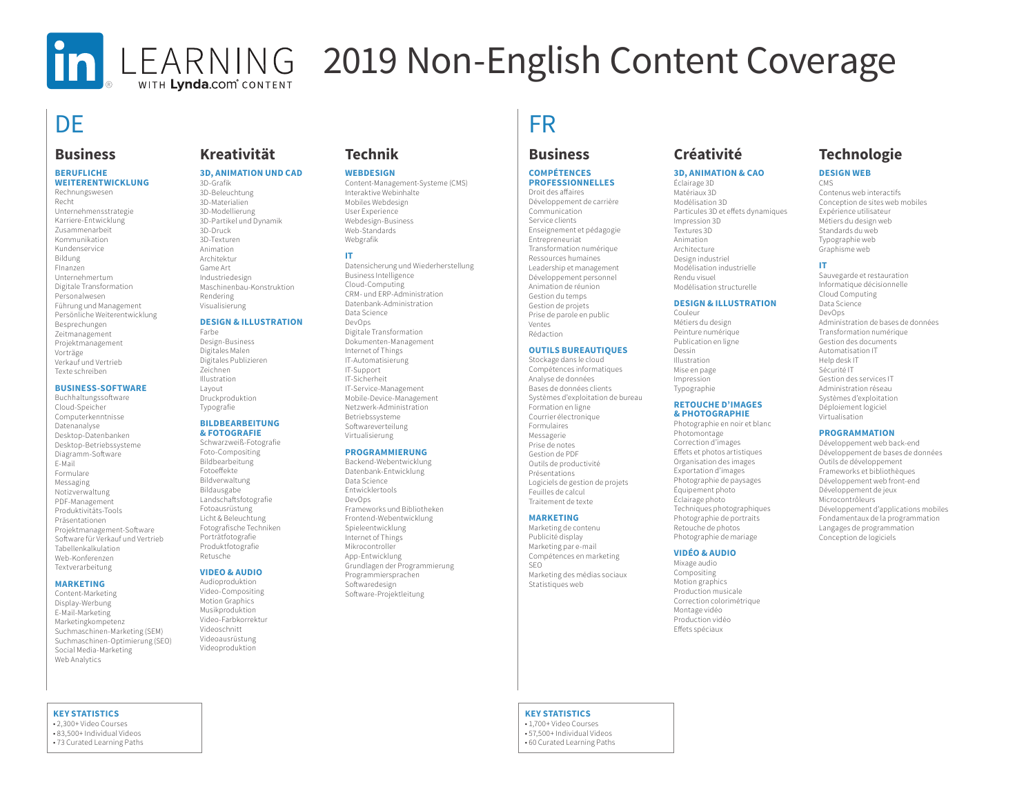# WITH Lynda.com<sup>®</sup> CONTENT

# In LEARNING 2019 Non-English Content Coverage

## DE TERM IN THE STATE OF THE STATE OF THE STATE OF THE STATE OF THE STATE OF THE STATE OF THE STATE OF THE STATE OF THE STATE OF THE STATE OF THE STATE OF THE STATE OF THE STATE OF THE STATE OF THE STATE OF THE STATE OF THE

### **Business**

#### **BERUFLICHE WEITERENTWICKLUNG**

Rechnungswesen Recht Unternehmensstrategie Karriere-Entwicklung Zusammenarbeit Kommunikation Kundenservice Bildung FInanzen Unternehmertum Digitale Transformation Personalwesen Führung und Management Persönliche Weiterentwicklung Besprechungen Zeitmanagement Projektmanagement Vorträge Verkauf und Vertrieb Texte schreiben

#### **BUSINESS-SOFTWARE**

Buchhaltungssoftware Cloud-Speicher Computerkenntnisse Datenanalyse Desktop-Datenbanken Desktop-Betriebssysteme Diagramm-Software E-Mail Formulare Messaging Notizverwaltung PDF-Management Produktivitäts-Tools Präsentationen Projektmanagement-Software Software für Verkauf und Vertrieb Tabellenkalkulation Web-Konferenzen Textverarbeitung

#### **MARKETING**

Content-Marketing Display-Werbung E-Mail-Marketing Marketingkompetenz Suchmaschinen-Marketing (SEM) Suchmaschinen-Optimierung (SEO) Social Media-Marketing Web Analytics

#### **KEY STATISTICS**

• 2,300+ Video Courses • 83,500+ Individual Videos • 73 Curated Learning Paths

## **Kreativität**

#### **3D, ANIMATION UND CAD**

3D-Grafik 3D-Beleuchtung 3D-Materialien 3D-Modellierung 3D-Partikel und Dynamik 3D-Druck 3D-Texturen Animation Architektur Game Art Industriedesign Maschinenbau-Konstruktion Rendering Visualisierung

#### **DESIGN & ILLUSTRATION**

Farbe Design-Business Digitales Malen Digitales Publizieren Zeichnen Illustration Layout Druckproduktion Typografie

#### **BILDBEARBEITUNG & FOTOGRAFIE**

Schwarzweiß-Fotografie Foto-Compositing Bildbearbeitung Fotoeffekte Bildverwaltung Bildausgabe Landschaftsfotografie Fotoausrüstung Licht & Beleuchtung Fotografische Techniken Porträtfotografie Produktfotografie Retusche

#### **VIDEO & AUDIO**

Audioproduktion Video-Compositing Motion Graphics Musikproduktion Video-Farbkorrektur Videoschnitt Videoausrüstung Videoproduktion

### **Technik**

#### **WEBDESIGN**

Content-Management-Systeme (CMS) Interaktive Webinhalte Mobiles Webdesign User Experience Webdesign-Business Web-Standards Webgrafik

#### **IT**

Datensicherung und Wiederherstellung Business Intelligence Cloud-Computing CRM- und ERP-Administration Datenbank-Administration Data Science DevOps Digitale Transformation Dokumenten-Management Internet of Things IT-Automatisierung IT-Support IT-Sicherheit IT-Service-Management Mobile-Device-Management Netzwerk-Administration Betriebssysteme Softwareverteilung Virtualisierung

#### **PROGRAMMIERUNG**

Backend-Webentwicklung Datenbank-Entwicklung Data Science Entwicklertools DevOps Frameworks und Bibliotheken Frontend-Webentwicklung Spieleentwicklung Internet of Things Mikrocontroller App-Entwicklung Grundlagen der Programmierung Programmiersprachen Softwaredesign Software-Projektleitung

## **Business**

#### **COMPÉTENCES PROFESSIONNELLES** Droit des affaires

Développement de carrière Communication Service clients Enseignement et pédagogie Entrepreneuriat Transformation numérique Ressources humaines Leadership et management Développement personnel Animation de réunion Gestion du temps Gestion de projets Prise de parole en public Ventes Rédaction

#### **OUTILS BUREAUTIQUES**

Stockage dans le cloud Compétences informatiques Analyse de données Bases de données clients Systèmes d'exploitation de bureau Formation en ligne Courrier électronique Formulaires Messagerie Prise de notes Gestion de PDF Outils de productivité Présentations Logiciels de gestion de projets Feuilles de calcul Traitement de texte

#### **MARKETING**

Marketing de contenu Publicité display Marketing par e-mail Compétences en marketing SEO Marketing des médias sociaux Statistiques web

## **Créativité**

#### **3D, ANIMATION & CAO**

Éclairage 3D Matériaux 3D Modélisation 3D Particules 3D et effets dynamiques Impression 3D Textures 3D Animation Architecture Design industriel Modélisation industrielle Rendu visuel Modélisation structurelle

#### **DESIGN & ILLUSTRATION**

Couleur Métiers du design Peinture numérique Publication en ligne Dessin Illustration Mise en page Impression Typographie

#### **RETOUCHE D'IMAGES & PHOTOGRAPHIE**

Photographie en noir et blanc Photomontage Correction d'images Effets et photos artistiques Organisation des images Exportation d'images Photographie de paysages Équipement photo Éclairage photo Techniques photographiques Photographie de portraits Retouche de photos Photographie de mariage

#### **VIDÉO & AUDIO**

Mixage audio Compositing Motion graphics Production musicale Correction colorimétrique Montage vidéo Production vidéo Effets spéciaux

## **Technologie**

#### **DESIGN WEB**

CMS Contenus web interactifs Conception de sites web mobiles Expérience utilisateur Métiers du design web Standards du web Typographie web Graphisme web

#### **IT**

Sauvegarde et restauration Informatique décisionnelle Cloud Computing Data Science DevOps Administration de bases de données Transformation numérique Gestion des documents Automatisation IT Help desk IT Sécurité IT Gestion des services IT Administration réseau Systèmes d'exploitation Déploiement logiciel Virtualisation

#### **PROGRAMMATION**

Développement web back-end Développement de bases de données Outils de développement Frameworks et bibliothèques Développement web front-end Développement de jeux Microcontrôleurs Développement d'applications mobiles Fondamentaux de la programmation Langages de programmation Conception de logiciels

**KEY STATISTICS** • 1,700+ Video Courses

• 57,500+ Individual Videos • 60 Curated Learning Paths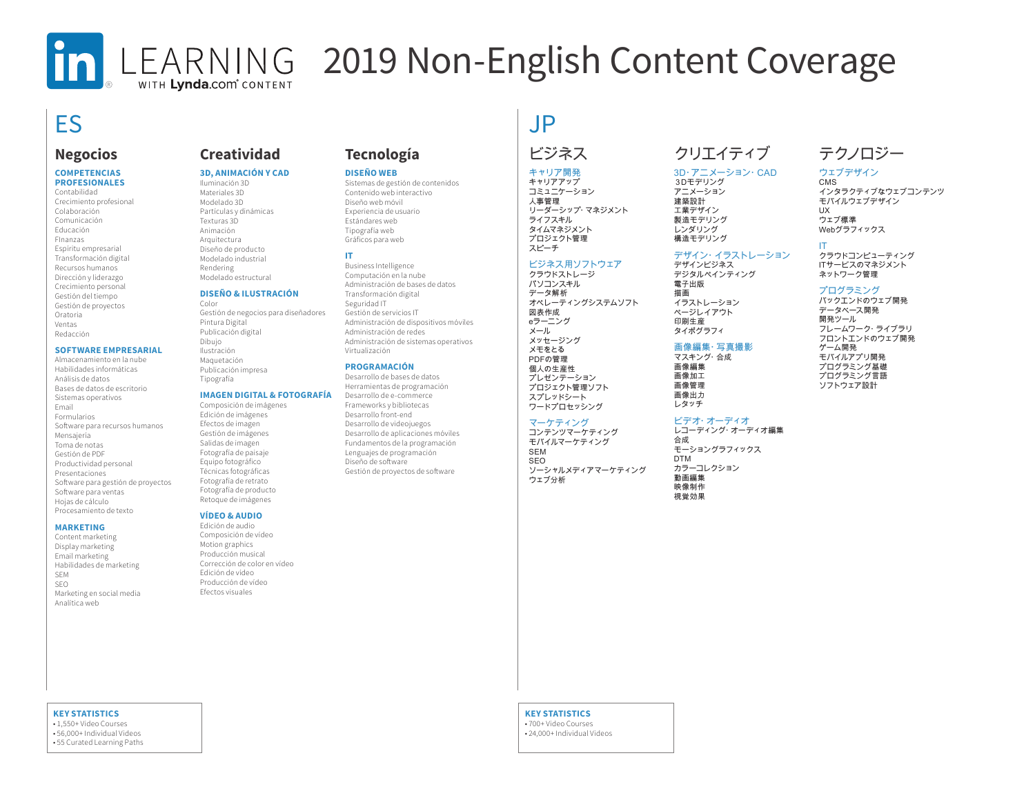## In LEARNING 2019 Non-English Content Coverage WITH Lynda.com<sup>®</sup> CONTENT

## ES JP

## **Negocios**

#### **COMPETENCIAS PROFESIONALES**

Contabilidad Crecimiento profesional Colaboración Comunicación Educación FInanzas Espíritu empresarial Transformación digital Recursos humanos Dirección y liderazgo Crecimiento personal Gestión del tiempo Gestión de proyectos Oratoria Ventas Redacción

#### **SOFTWARE EMPRESARIAL**

Almacenamiento en la nube Habilidades informáticas Análisis de datos Bases de datos de escritorio Sistemas operativos Email Formularios Software para recursos humanos Mensajería Toma de notas Gestión de PDF Productividad personal Presentaciones Software para gestión de proyectos Software para ventas Hojas de cálculo Procesamiento de texto

#### **MARKETING**

Content marketing Display marketing Email marketing Habilidades de marketing SEM SEO Marketing en social media Analítica web

## **Creatividad**

#### **3D, ANIMACIÓN Y CAD**

Iluminación 3D Materiales 3D Modelado 3D Partículas y dinámicas Texturas 3D Animación Arquitectura Diseño de producto Modelado industrial Rendering Modelado estructural

#### **DISEÑO & ILUSTRACIÓN**

Color Gestión de negocios para diseñadores Pintura Digital Publicación digital Dibujo Ilustración Maquetación Publicación impresa Tipografía

#### **IMAGEN DIGITAL & FOTOGRAFÍA**

Composición de imágenes Edición de imágenes Efectos de imagen Gestión de imágenes Salidas de imagen Fotografía de paisaje Equipo fotográfico Técnicas fotográficas Fotografía de retrato Fotografía de producto Retoque de imágenes

#### **VÍDEO & AUDIO**

Edición de audio Composición de vídeo Motion graphics Producción musical Corrección de color en vídeo Edición de vídeo Producción de vídeo Efectos visuales

## **Tecnología**

#### **DISEÑO WEB**

Sistemas de gestión de contenidos Contenido web interactivo Diseño web móvil Experiencia de usuario Estándares web Tipografía web Gráficos para web

#### **IT**

Business Intelligence Computación en la nube Administración de bases de datos Transformación digital Seguridad IT Gestión de servicios IT Administración de dispositivos móviles Administración de redes Administración de sistemas operativos Virtualización

#### **PROGRAMACIÓN**

Desarrollo de bases de datos Herramientas de programación Desarrollo de e-commerce Frameworks y bibliotecas Desarrollo front-end Desarrollo de videojuegos Desarrollo de aplicaciones móviles Fundamentos de la programación Lenguajes de programación Diseño de software Gestión de proyectos de software

## ビジネス

#### キャリア開発

キャリアアップ コミュニケーション 人事管理 リーダーシップ・マネジメント ライフスキル タイムマネジメント プロジェクト管理 スピーチ

#### ビジネス用ソフトウェア

クラウドストレージ パソコンスキル データ解析 オペレーティングシステムソフト 図表作成 eラーニング メール メッセージング メモをとる PDFの管理 個人の生産性 プレゼンテーション プロジェクト管理ソフト

#### スプレッドシート ワードプロセッシング マーケティング

コンテンツマーケティング モバイルマーケティング SEM SEO ソーシャルメディアマーケティング ウェブ分析

## クリエイティブ

#### 3D・アニメーション・CAD

3Dモデリング アニメーション 建築設計 工業デザイン 製造モデリング レンダリング 構造モデリング

デザイン・イラストレーション デザインビジネス

デジタルペインティング 電子出版 描画 イラストレーション ページレイアウト

印刷生産 タイポグラフィ

#### 画像編集・写真撮影 マスキング・合成

画像編集 画像加工 画像管理 画像出力 レタッチ

#### ビデオ・オーディオ

合成 モーショングラフィックス DTM カラーコレクション

## テクノロジー

#### ウェブデザイン

CMS インタラクティブなウェブコンテンツ モバイルウェブデザイン UX ウェブ標準 Webグラフィックス

IT

クラウドコンピューティング ITサービスのマネジメント ネットワーク管理

#### プログラミング

バックエンドのウェブ開発 データベース開発 開発ツール フレームワーク・ライブラリ フロントエンドのウェブ開発 ゲーム開発 モバイルアプリ開発 プログラミング基礎 プログラミング言語 ソフトウェア設計

レコーディング・オーディオ編集

動画編集 映像制作 視覚効果

#### **KEY STATISTICS**

• 700+ Video Courses • 24,000+ Individual Videos

**KEY STATISTICS** • 1,550+ Video Courses • 56,000+ Individual Videos • 55 Curated Learning Paths